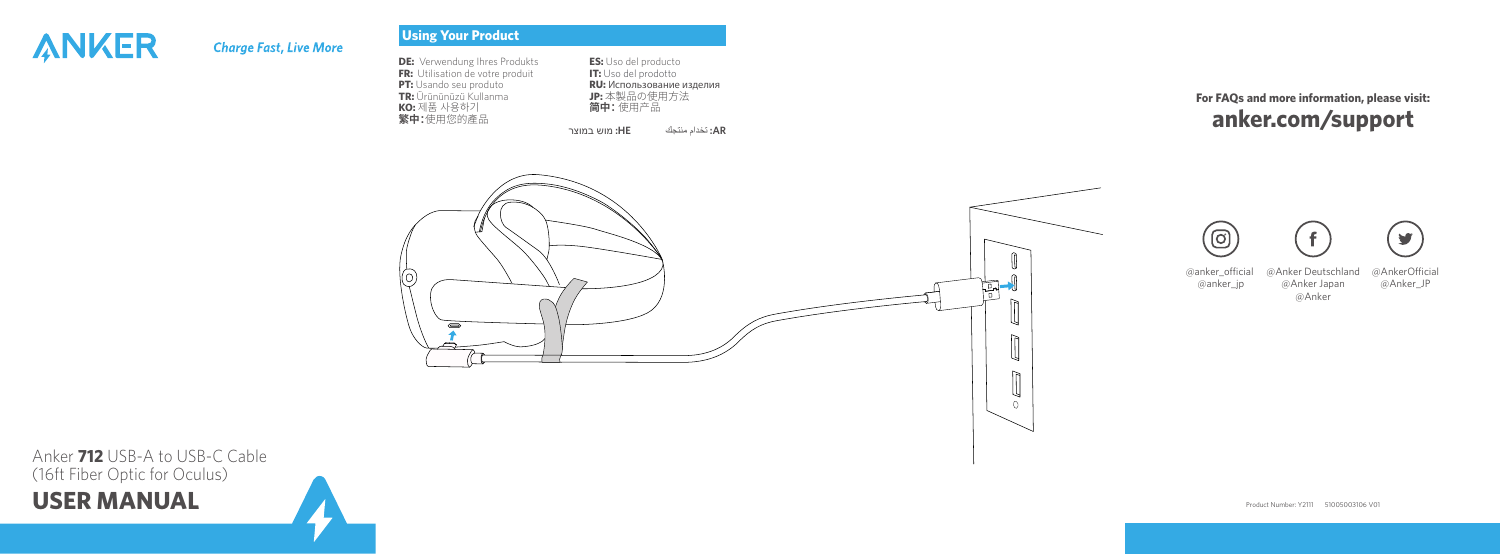# ANKER

## **Charge Fast, Live More**

### **Using Your Product**

| <b>DE:</b> Verwendung Ihres Produkts<br>FR: Utilisation de votre produit<br>PT: Usando seu produto<br>TR: Ürününüzü Kullanma<br>KO: 제품 사용하기<br>繁中:使用您的產品 | <b>ES:</b> Uso del producto<br>IT: Uso del prodotto<br>RU: Использование изделия<br>JP: 本製品の使用方法<br>简中:使用产品<br>AR: تَخدام منتَجك<br>HE: מוש במוצר | For FAQs and more information, please visit:<br>anker.com/support                                                     |
|----------------------------------------------------------------------------------------------------------------------------------------------------------|---------------------------------------------------------------------------------------------------------------------------------------------------|-----------------------------------------------------------------------------------------------------------------------|
| $\circ$                                                                                                                                                  | 콝<br>Щ<br>$\Box$<br>$\Box$<br>$\circ$                                                                                                             | y<br>ල<br>@anker_official<br>@AnkerOfficial<br>@Anker Deutschland<br>@Anker Japan<br>@Anker_JP<br>@anker_jp<br>@Anker |

**USER MANUAL** Anker **712** USB-A to USB-C Cable (16ft Fiber Optic for Oculus)

Product Number: Y2111 51005003106 V01